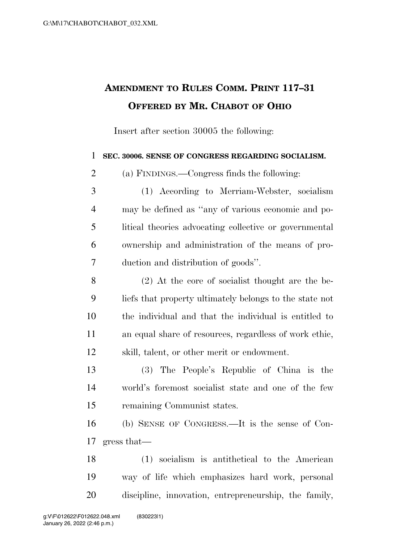## **AMENDMENT TO RULES COMM. PRINT 117–31 OFFERED BY MR. CHABOT OF OHIO**

Insert after section 30005 the following:

## **SEC. 30006. SENSE OF CONGRESS REGARDING SOCIALISM.**

(a) FINDINGS.—Congress finds the following:

 (1) According to Merriam-Webster, socialism may be defined as ''any of various economic and po- litical theories advocating collective or governmental ownership and administration of the means of pro-duction and distribution of goods''.

 (2) At the core of socialist thought are the be- liefs that property ultimately belongs to the state not the individual and that the individual is entitled to an equal share of resources, regardless of work ethic, skill, talent, or other merit or endowment.

 (3) The People's Republic of China is the world's foremost socialist state and one of the few remaining Communist states.

 (b) SENSE OF CONGRESS.—It is the sense of Con-gress that—

 (1) socialism is antithetical to the American way of life which emphasizes hard work, personal discipline, innovation, entrepreneurship, the family,